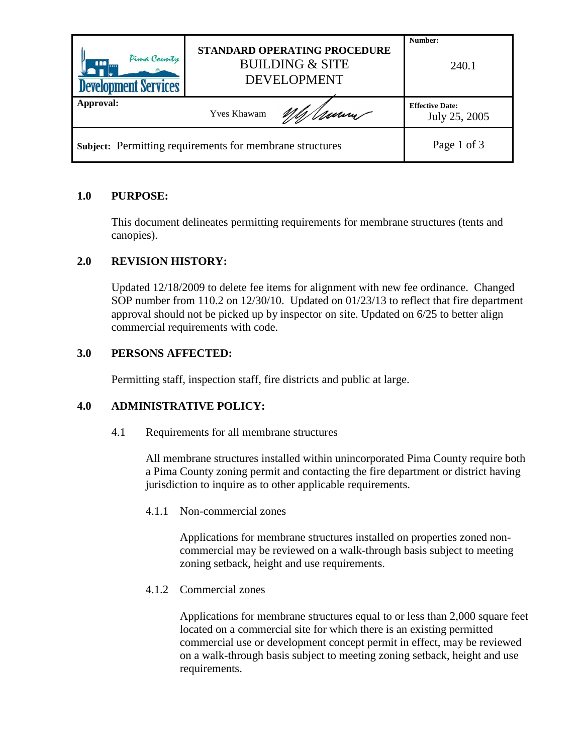| Pima County<br>000<br><b>Development Services</b>               | STANDARD OPERATING PROCEDURE<br><b>BUILDING &amp; SITE</b><br><b>DEVELOPMENT</b> |     | Number:<br>240.1                        |
|-----------------------------------------------------------------|----------------------------------------------------------------------------------|-----|-----------------------------------------|
| Approval:                                                       | <b>Yves Khawam</b>                                                               | Umm | <b>Effective Date:</b><br>July 25, 2005 |
| <b>Subject:</b> Permitting requirements for membrane structures |                                                                                  |     | Page 1 of 3                             |

# **1.0 PURPOSE:**

This document delineates permitting requirements for membrane structures (tents and canopies).

## **2.0 REVISION HISTORY:**

Updated 12/18/2009 to delete fee items for alignment with new fee ordinance. Changed SOP number from 110.2 on 12/30/10. Updated on 01/23/13 to reflect that fire department approval should not be picked up by inspector on site. Updated on 6/25 to better align commercial requirements with code.

## **3.0 PERSONS AFFECTED:**

Permitting staff, inspection staff, fire districts and public at large.

### **4.0 ADMINISTRATIVE POLICY:**

4.1 Requirements for all membrane structures

All membrane structures installed within unincorporated Pima County require both a Pima County zoning permit and contacting the fire department or district having jurisdiction to inquire as to other applicable requirements.

4.1.1 Non-commercial zones

Applications for membrane structures installed on properties zoned noncommercial may be reviewed on a walk-through basis subject to meeting zoning setback, height and use requirements.

4.1.2 Commercial zones

Applications for membrane structures equal to or less than 2,000 square feet located on a commercial site for which there is an existing permitted commercial use or development concept permit in effect, may be reviewed on a walk-through basis subject to meeting zoning setback, height and use requirements.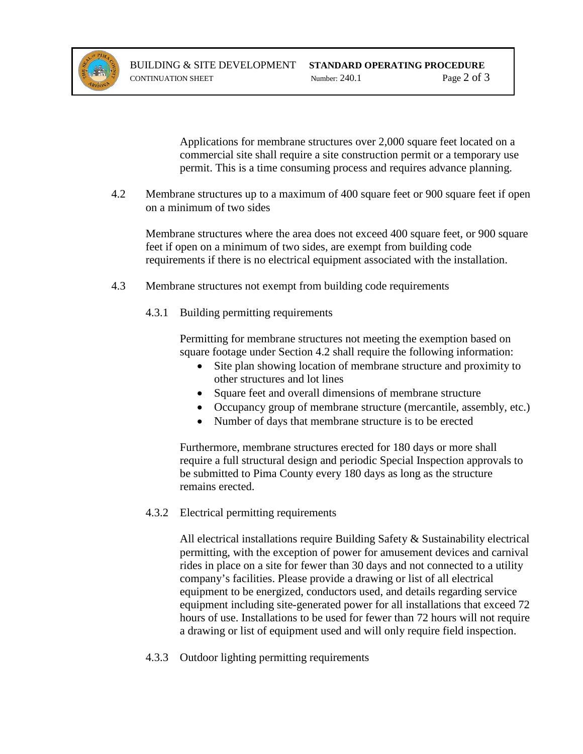

Applications for membrane structures over 2,000 square feet located on a commercial site shall require a site construction permit or a temporary use permit. This is a time consuming process and requires advance planning.

4.2 Membrane structures up to a maximum of 400 square feet or 900 square feet if open on a minimum of two sides

Membrane structures where the area does not exceed 400 square feet, or 900 square feet if open on a minimum of two sides, are exempt from building code requirements if there is no electrical equipment associated with the installation.

- 4.3 Membrane structures not exempt from building code requirements
	- 4.3.1 Building permitting requirements

Permitting for membrane structures not meeting the exemption based on square footage under Section 4.2 shall require the following information:

- Site plan showing location of membrane structure and proximity to other structures and lot lines
- Square feet and overall dimensions of membrane structure
- Occupancy group of membrane structure (mercantile, assembly, etc.)
- Number of days that membrane structure is to be erected

Furthermore, membrane structures erected for 180 days or more shall require a full structural design and periodic Special Inspection approvals to be submitted to Pima County every 180 days as long as the structure remains erected.

4.3.2 Electrical permitting requirements

All electrical installations require Building Safety & Sustainability electrical permitting, with the exception of power for amusement devices and carnival rides in place on a site for fewer than 30 days and not connected to a utility company's facilities. Please provide a drawing or list of all electrical equipment to be energized, conductors used, and details regarding service equipment including site-generated power for all installations that exceed 72 hours of use. Installations to be used for fewer than 72 hours will not require a drawing or list of equipment used and will only require field inspection.

4.3.3 Outdoor lighting permitting requirements